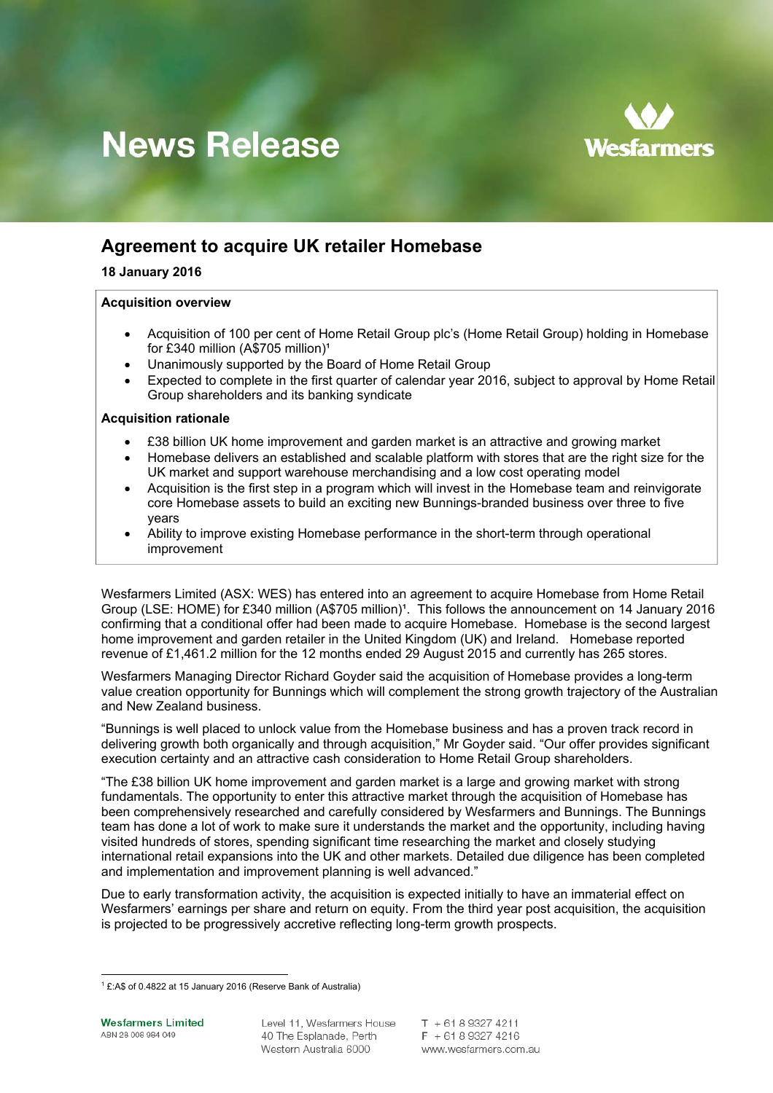

# **News Release**

# **Agreement to acquire UK retailer Homebase**

# **18 January 2016**

# **Acquisition overview**

- Acquisition of 100 per cent of Home Retail Group plc's (Home Retail Group) holding in Homebase for £340 million (A\$705 million)<sup>1</sup>
- Unanimously supported by the Board of Home Retail Group
- Expected to complete in the first quarter of calendar year 2016, subject to approval by Home Retail Group shareholders and its banking syndicate

# **Acquisition rationale**

- £38 billion UK home improvement and garden market is an attractive and growing market
- Homebase delivers an established and scalable platform with stores that are the right size for the UK market and support warehouse merchandising and a low cost operating model
- Acquisition is the first step in a program which will invest in the Homebase team and reinvigorate core Homebase assets to build an exciting new Bunnings-branded business over three to five years
- Ability to improve existing Homebase performance in the short-term through operational improvement

Wesfarmers Limited (ASX: WES) has entered into an agreement to acquire Homebase from Home Retail Group (LSE: HOME) for £340 million (A\$705 million)<sup>1</sup>. This follows the announcement on 14 January 2016 confirming that a conditional offer had been made to acquire Homebase. Homebase is the second largest home improvement and garden retailer in the United Kingdom (UK) and Ireland. Homebase reported revenue of £1,461.2 million for the 12 months ended 29 August 2015 and currently has 265 stores.

Wesfarmers Managing Director Richard Goyder said the acquisition of Homebase provides a long-term value creation opportunity for Bunnings which will complement the strong growth trajectory of the Australian and New Zealand business.

"Bunnings is well placed to unlock value from the Homebase business and has a proven track record in delivering growth both organically and through acquisition," Mr Goyder said. "Our offer provides significant execution certainty and an attractive cash consideration to Home Retail Group shareholders.

"The £38 billion UK home improvement and garden market is a large and growing market with strong fundamentals. The opportunity to enter this attractive market through the acquisition of Homebase has been comprehensively researched and carefully considered by Wesfarmers and Bunnings. The Bunnings team has done a lot of work to make sure it understands the market and the opportunity, including having visited hundreds of stores, spending significant time researching the market and closely studying international retail expansions into the UK and other markets. Detailed due diligence has been completed and implementation and improvement planning is well advanced."

Due to early transformation activity, the acquisition is expected initially to have an immaterial effect on Wesfarmers' earnings per share and return on equity. From the third year post acquisition, the acquisition is projected to be progressively accretive reflecting long-term growth prospects.

 1 £:A\$ of 0.4822 at 15 January 2016 (Reserve Bank of Australia)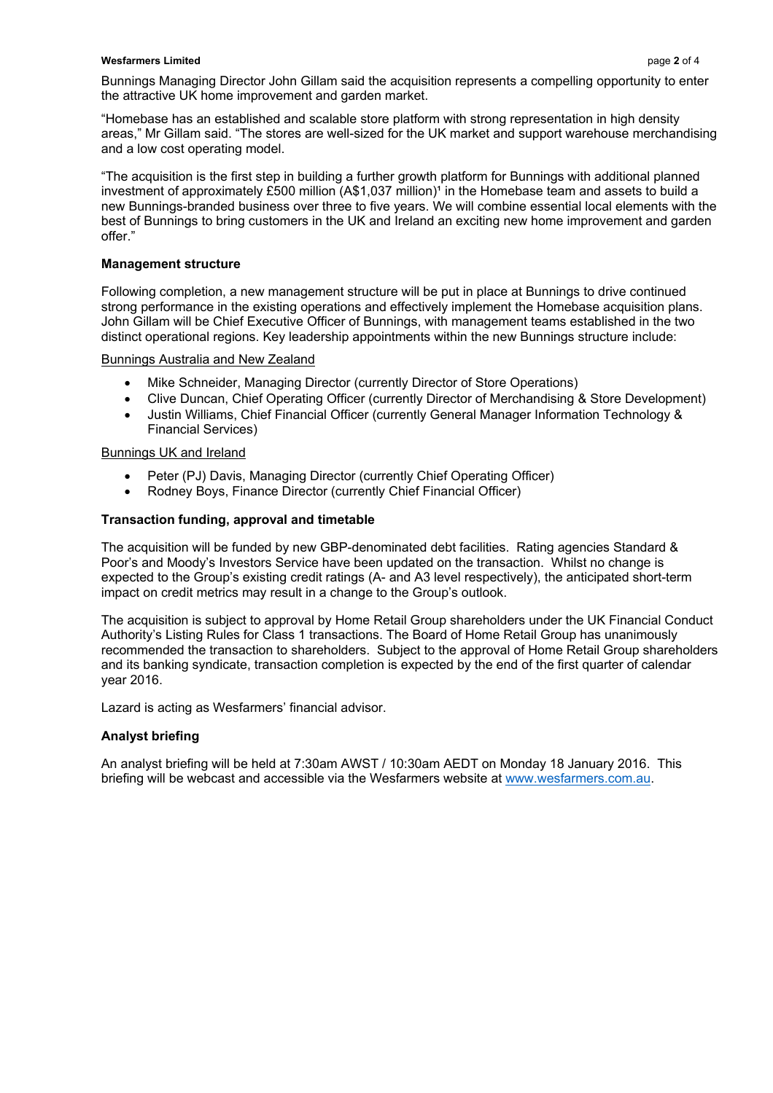### **Wesfarmers Limited** page 2 of 4

"Homebase has an established and scalable store platform with strong representation in high density areas," Mr Gillam said. "The stores are well-sized for the UK market and support warehouse merchandising and a low cost operating model.

"The acquisition is the first step in building a further growth platform for Bunnings with additional planned investment of approximately £500 million  $(A$1,037$  million)<sup>1</sup> in the Homebase team and assets to build a new Bunnings-branded business over three to five years. We will combine essential local elements with the best of Bunnings to bring customers in the UK and Ireland an exciting new home improvement and garden offer."

# **Management structure**

Following completion, a new management structure will be put in place at Bunnings to drive continued strong performance in the existing operations and effectively implement the Homebase acquisition plans. John Gillam will be Chief Executive Officer of Bunnings, with management teams established in the two distinct operational regions. Key leadership appointments within the new Bunnings structure include:

# Bunnings Australia and New Zealand

- Mike Schneider, Managing Director (currently Director of Store Operations)
- Clive Duncan, Chief Operating Officer (currently Director of Merchandising & Store Development)
- Justin Williams, Chief Financial Officer (currently General Manager Information Technology & Financial Services)

# Bunnings UK and Ireland

- Peter (PJ) Davis, Managing Director (currently Chief Operating Officer)
- Rodney Boys, Finance Director (currently Chief Financial Officer)

# **Transaction funding, approval and timetable**

The acquisition will be funded by new GBP-denominated debt facilities. Rating agencies Standard & Poor's and Moody's Investors Service have been updated on the transaction. Whilst no change is expected to the Group's existing credit ratings (A- and A3 level respectively), the anticipated short-term impact on credit metrics may result in a change to the Group's outlook.

The acquisition is subject to approval by Home Retail Group shareholders under the UK Financial Conduct Authority's Listing Rules for Class 1 transactions. The Board of Home Retail Group has unanimously recommended the transaction to shareholders. Subject to the approval of Home Retail Group shareholders and its banking syndicate, transaction completion is expected by the end of the first quarter of calendar year 2016.

Lazard is acting as Wesfarmers' financial advisor.

# **Analyst briefing**

An analyst briefing will be held at 7:30am AWST / 10:30am AEDT on Monday 18 January 2016. This briefing will be webcast and accessible via the Wesfarmers website at www.wesfarmers.com.au.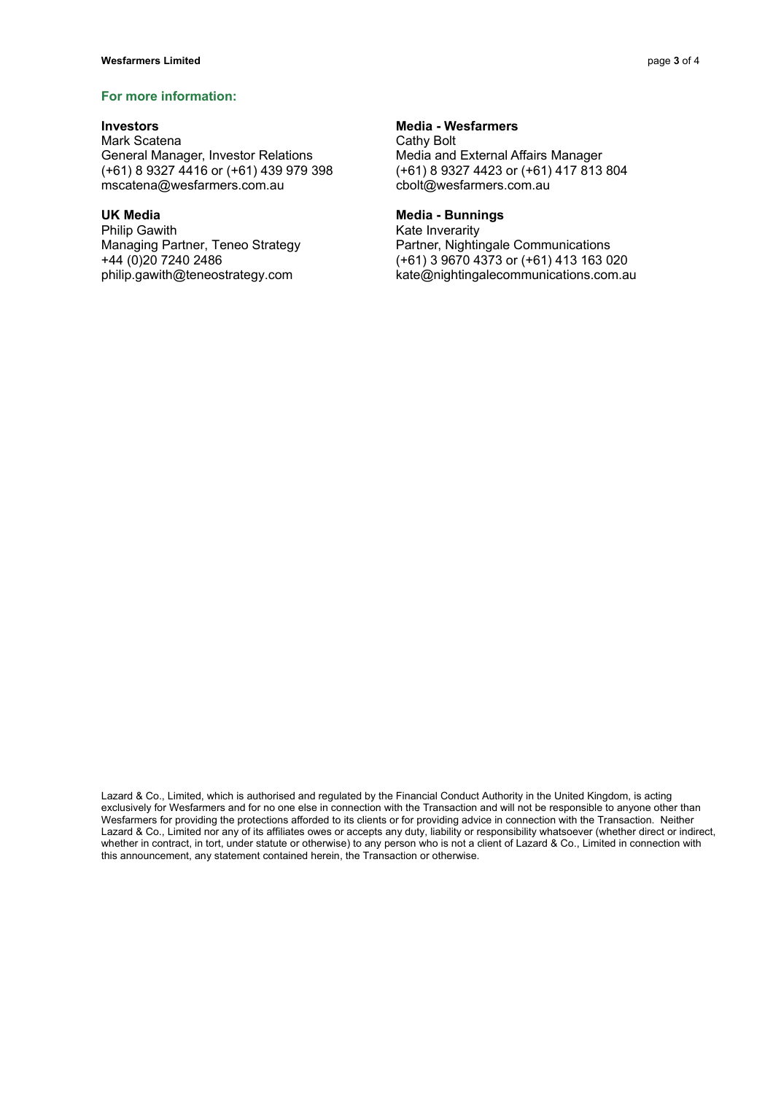# **For more information:**

Mark Scatena **Cathy Bolt** Cathy Bolt General Manager, Investor Relations Media and External Affairs Manager (+61) 8 9327 4416 or (+61) 439 979 398 (+61) 8 9327 4423 or (+61) 417 813 804 mscatena@wesfarmers.com.au cbolt@wesfarmers.com.au

Philip Gawith **Kate Inverarity** 

# **Investors Investors Media - Wesfarmers**

### UK Media **Media - Bunnings Media - Bunnings**

Managing Partner, Teneo Strategy Partner, Nightingale Communications +44 (0)20 7240 2486 (+61) 3 9670 4373 or (+61) 413 163 020 philip.gawith@teneostrategy.com kate@nightingalecommunications.com.au

Lazard & Co., Limited, which is authorised and regulated by the Financial Conduct Authority in the United Kingdom, is acting exclusively for Wesfarmers and for no one else in connection with the Transaction and will not be responsible to anyone other than Wesfarmers for providing the protections afforded to its clients or for providing advice in connection with the Transaction. Neither Lazard & Co., Limited nor any of its affiliates owes or accepts any duty, liability or responsibility whatsoever (whether direct or indirect, whether in contract, in tort, under statute or otherwise) to any person who is not a client of Lazard & Co., Limited in connection with this announcement, any statement contained herein, the Transaction or otherwise.